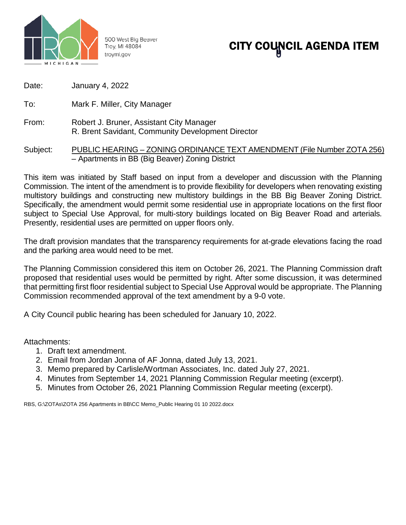

500 West Big Beaver Troy, MI 48084 troymi.gov

# CITY COUNCIL AGENDA ITEM

| Date: | <b>January 4, 2022</b> |  |
|-------|------------------------|--|
|-------|------------------------|--|

To: Mark F. Miller, City Manager

From: Robert J. Bruner, Assistant City Manager R. Brent Savidant, Community Development Director

## Subject: PUBLIC HEARING - ZONING ORDINANCE TEXT AMENDMENT (File Number ZOTA 256) – Apartments in BB (Big Beaver) Zoning District

This item was initiated by Staff based on input from a developer and discussion with the Planning Commission. The intent of the amendment is to provide flexibility for developers when renovating existing multistory buildings and constructing new multistory buildings in the BB Big Beaver Zoning District. Specifically, the amendment would permit some residential use in appropriate locations on the first floor subject to Special Use Approval, for multi-story buildings located on Big Beaver Road and arterials. Presently, residential uses are permitted on upper floors only.

The draft provision mandates that the transparency requirements for at-grade elevations facing the road and the parking area would need to be met.

The Planning Commission considered this item on October 26, 2021. The Planning Commission draft proposed that residential uses would be permitted by right. After some discussion, it was determined that permitting first floor residential subject to Special Use Approval would be appropriate. The Planning Commission recommended approval of the text amendment by a 9-0 vote.

A City Council public hearing has been scheduled for January 10, 2022.

Attachments:

- 1. Draft text amendment.
- 2. Email from Jordan Jonna of AF Jonna, dated July 13, 2021.
- 3. Memo prepared by Carlisle/Wortman Associates, Inc. dated July 27, 2021.
- 4. Minutes from September 14, 2021 Planning Commission Regular meeting (excerpt).
- 5. Minutes from October 26, 2021 Planning Commission Regular meeting (excerpt).

RBS, G:\ZOTAs\ZOTA 256 Apartments in BB\CC Memo\_Public Hearing 01 10 2022.docx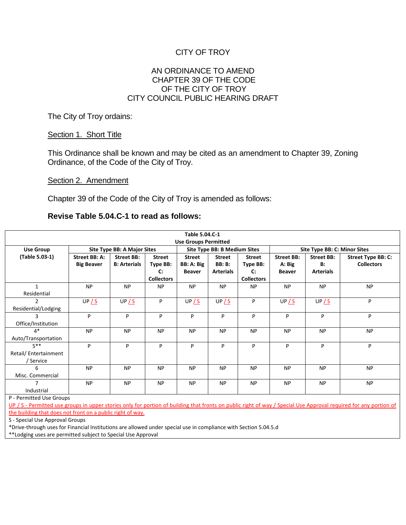# CITY OF TROY

## AN ORDINANCE TO AMEND CHAPTER 39 OF THE CODE OF THE CITY OF TROY CITY COUNCIL PUBLIC HEARING DRAFT

The City of Troy ordains:

## Section 1. Short Title

This Ordinance shall be known and may be cited as an amendment to Chapter 39, Zoning Ordinance, of the Code of the City of Troy.

## Section 2. Amendment

Chapter 39 of the Code of the City of Troy is amended as follows:

## **Revise Table 5.04.C-1 to read as follows:**

| Table 5.04.C-1              |                             |                     |                   |                                     |                  |                   |                              |                   |                    |  |
|-----------------------------|-----------------------------|---------------------|-------------------|-------------------------------------|------------------|-------------------|------------------------------|-------------------|--------------------|--|
| <b>Use Groups Permitted</b> |                             |                     |                   |                                     |                  |                   |                              |                   |                    |  |
| Use Group                   | Site Type BB: A Major Sites |                     |                   | <b>Site Type BB: B Medium Sites</b> |                  |                   | Site Type BB: C: Minor Sites |                   |                    |  |
| (Table 5.03-1)              | Street BB: A:               | <b>Street BB:</b>   | <b>Street</b>     | <b>Street</b>                       | <b>Street</b>    | <b>Street</b>     | <b>Street BB:</b>            | <b>Street BB:</b> | Street Type BB: C: |  |
|                             | <b>Big Beaver</b>           | <b>B: Arterials</b> | Type BB:          | BB: A: Big                          | <b>BB</b> : B:   | Type BB:          | A: Big                       | B:                | <b>Collectors</b>  |  |
|                             |                             |                     | $\mathbf{C}$      | <b>Beaver</b>                       | <b>Arterials</b> | $\mathbf{C}$      | <b>Beaver</b>                | <b>Arterials</b>  |                    |  |
|                             |                             |                     | <b>Collectors</b> |                                     |                  | <b>Collectors</b> |                              |                   |                    |  |
| $\mathbf{1}$                | <b>NP</b>                   | <b>NP</b>           | <b>NP</b>         | <b>NP</b>                           | <b>NP</b>        | <b>NP</b>         | <b>NP</b>                    | <b>NP</b>         | <b>NP</b>          |  |
| Residential                 |                             |                     |                   |                                     |                  |                   |                              |                   |                    |  |
| 2                           | UP / S                      | UP / S              | P                 | UP / S                              | UP / S           | P                 | UP/S                         | UP / S            | P                  |  |
| Residential/Lodging         |                             |                     |                   |                                     |                  |                   |                              |                   |                    |  |
|                             | P                           | P                   | P                 | P                                   | P                | P                 | P                            | P                 | P                  |  |
| Office/Institution          |                             |                     |                   |                                     |                  |                   |                              |                   |                    |  |
| $4*$                        | <b>NP</b>                   | <b>NP</b>           | <b>NP</b>         | <b>NP</b>                           | <b>NP</b>        | <b>NP</b>         | <b>NP</b>                    | <b>NP</b>         | <b>NP</b>          |  |
| Auto/Transportation         |                             |                     |                   |                                     |                  |                   |                              |                   |                    |  |
| $5***$                      | P                           | P                   | P                 | P                                   | P                | P                 | P                            | P                 | P                  |  |
| Retail/ Entertainment       |                             |                     |                   |                                     |                  |                   |                              |                   |                    |  |
| / Service                   |                             |                     |                   |                                     |                  |                   |                              |                   |                    |  |
| 6                           | <b>NP</b>                   | <b>NP</b>           | <b>NP</b>         | <b>NP</b>                           | <b>NP</b>        | <b>NP</b>         | <b>NP</b>                    | <b>NP</b>         | <b>NP</b>          |  |
| Misc. Commercial            |                             |                     |                   |                                     |                  |                   |                              |                   |                    |  |
|                             | <b>NP</b>                   | <b>NP</b>           | <b>NP</b>         | <b>NP</b>                           | <b>NP</b>        | <b>NP</b>         | <b>NP</b>                    | <b>NP</b>         | <b>NP</b>          |  |
| Industrial                  |                             |                     |                   |                                     |                  |                   |                              |                   |                    |  |

P - Permitted Use Groups

UP / S - Permitted use groups in upper stories only for portion of building that fronts on public right of way / Special Use Approval required for any portion of the building that does not front on a public right of way.

S - Special Use Approval Groups

\*Drive-through uses for Financial Institutions are allowed under special use in compliance with Section 5.04.5.d

\*\*Lodging uses are permitted subject to Special Use Approval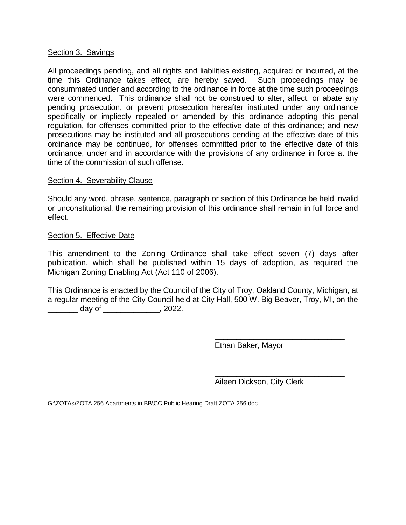## Section 3. Savings

All proceedings pending, and all rights and liabilities existing, acquired or incurred, at the time this Ordinance takes effect, are hereby saved. Such proceedings may be consummated under and according to the ordinance in force at the time such proceedings were commenced. This ordinance shall not be construed to alter, affect, or abate any pending prosecution, or prevent prosecution hereafter instituted under any ordinance specifically or impliedly repealed or amended by this ordinance adopting this penal regulation, for offenses committed prior to the effective date of this ordinance; and new prosecutions may be instituted and all prosecutions pending at the effective date of this ordinance may be continued, for offenses committed prior to the effective date of this ordinance, under and in accordance with the provisions of any ordinance in force at the time of the commission of such offense.

## Section 4. Severability Clause

Should any word, phrase, sentence, paragraph or section of this Ordinance be held invalid or unconstitutional, the remaining provision of this ordinance shall remain in full force and effect.

## Section 5. Effective Date

This amendment to the Zoning Ordinance shall take effect seven (7) days after publication, which shall be published within 15 days of adoption, as required the Michigan Zoning Enabling Act (Act 110 of 2006).

This Ordinance is enacted by the Council of the City of Troy, Oakland County, Michigan, at a regular meeting of the City Council held at City Hall, 500 W. Big Beaver, Troy, MI, on the \_\_\_\_\_\_\_ day of \_\_\_\_\_\_\_\_\_\_\_\_\_, 2022.

Ethan Baker, Mayor

\_\_\_\_\_\_\_\_\_\_\_\_\_\_\_\_\_\_\_\_\_\_\_\_\_\_\_\_\_\_ Aileen Dickson, City Clerk

\_\_\_\_\_\_\_\_\_\_\_\_\_\_\_\_\_\_\_\_\_\_\_\_\_\_\_\_\_\_

G:\ZOTAs\ZOTA 256 Apartments in BB\CC Public Hearing Draft ZOTA 256.doc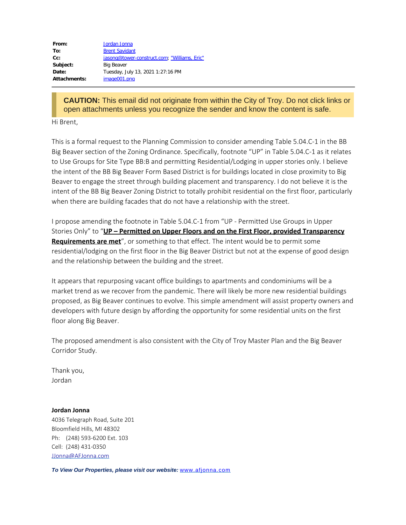| From:        | Jordan Jonna                                 |
|--------------|----------------------------------------------|
| To:          | <b>Brent Savidant</b>                        |
| $Cc$ :       | jasong@tower-construct.com; "Williams, Eric" |
| Subject:     | <b>Big Beaver</b>                            |
| Date:        | Tuesday, July 13, 2021 1:27:16 PM            |
| Attachments: | image001.png                                 |

**CAUTION:** This email did not originate from within the City of Troy. Do not click links or open attachments unless you recognize the sender and know the content is safe.

Hi Brent,

This is a formal request to the Planning Commission to consider amending Table 5.04.C-1 in the BB Big Beaver section of the Zoning Ordinance. Specifically, footnote "UP" in Table 5.04.C-1 as it relates to Use Groups for Site Type BB:B and permitting Residential/Lodging in upper stories only. I believe the intent of the BB Big Beaver Form Based District is for buildings located in close proximity to Big Beaver to engage the street through building placement and transparency. I do not believe it is the intent of the BB Big Beaver Zoning District to totally prohibit residential on the first floor, particularly when there are building facades that do not have a relationship with the street.

I propose amending the footnote in Table 5.04.C-1 from "UP - Permitted Use Groups in Upper Stories Only" to "**UP – Permitted on Upper Floors and on the First Floor, provided Transparency Requirements are met**", or something to that effect. The intent would be to permit some residential/lodging on the first floor in the Big Beaver District but not at the expense of good design and the relationship between the building and the street.

It appears that repurposing vacant office buildings to apartments and condominiums will be a market trend as we recover from the pandemic. There will likely be more new residential buildings proposed, as Big Beaver continues to evolve. This simple amendment will assist property owners and developers with future design by affording the opportunity for some residential units on the first floor along Big Beaver.

The proposed amendment is also consistent with the City of Troy Master Plan and the Big Beaver Corridor Study.

Thank you, Jordan

#### **Jordan Jonna**

4036 Telegraph Road, Suite 201 Bloomfield Hills, MI 48302 Ph: (248) 593-6200 Ext. 103 Cell: (248) 431-0350 [JJonna@AFJonna.com](mailto:JJonna@AFJonna.com)

*To View Our Properties, please visit our website:* [www.afjonna.com](http://www.afjonna.com/)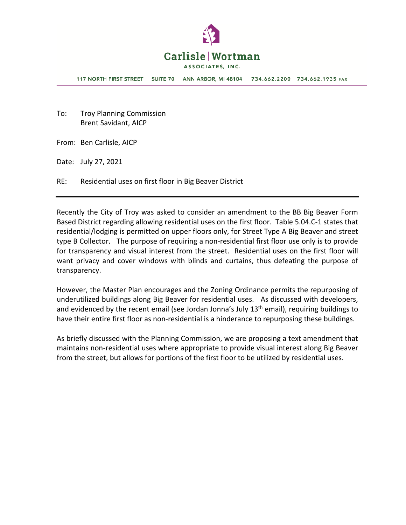

**117 NORTH FIRST STREET** SUITE 70 ANN ARBOR, MI 48104 734.662.2200 734.662.1935 FAX

To: Troy Planning Commission Brent Savidant, AICP

From: Ben Carlisle, AICP

Date: July 27, 2021

RE: Residential uses on first floor in Big Beaver District

Recently the City of Troy was asked to consider an amendment to the BB Big Beaver Form Based District regarding allowing residential uses on the first floor. Table 5.04.C-1 states that residential/lodging is permitted on upper floors only, for Street Type A Big Beaver and street type B Collector. The purpose of requiring a non-residential first floor use only is to provide for transparency and visual interest from the street. Residential uses on the first floor will want privacy and cover windows with blinds and curtains, thus defeating the purpose of transparency.

However, the Master Plan encourages and the Zoning Ordinance permits the repurposing of underutilized buildings along Big Beaver for residential uses. As discussed with developers, and evidenced by the recent email (see Jordan Jonna's July  $13<sup>th</sup>$  email), requiring buildings to have their entire first floor as non-residential is a hinderance to repurposing these buildings.

As briefly discussed with the Planning Commission, we are proposing a text amendment that maintains non-residential uses where appropriate to provide visual interest along Big Beaver from the street, but allows for portions of the first floor to be utilized by residential uses.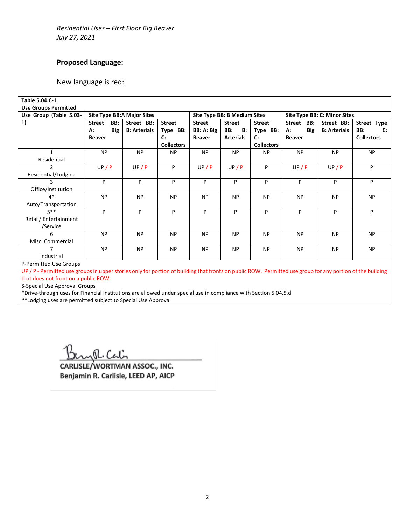## **Proposed Language:**

New language is red:

| Table 5.04.C-1                                                      |                             |     |                     |                   |               |                              |                   |                      |                              |                       |
|---------------------------------------------------------------------|-----------------------------|-----|---------------------|-------------------|---------------|------------------------------|-------------------|----------------------|------------------------------|-----------------------|
| <b>Use Groups Permitted</b>                                         |                             |     |                     |                   |               |                              |                   |                      |                              |                       |
| Use Group (Table 5.03-                                              | Site Type BB: A Major Sites |     |                     |                   |               | Site Type BB: B Medium Sites |                   |                      | Site Type BB: C: Minor Sites |                       |
| 1)                                                                  | <b>Street</b>               | BB: | Street BB:          | <b>Street</b>     | <b>Street</b> | <b>Street</b>                | <b>Street</b>     | <b>Street</b><br>BB: | Street BB:                   | Street Type           |
|                                                                     | А:                          | Big | <b>B: Arterials</b> | Type BB:          | BB: A: Big    | BB:<br><b>B:</b>             | Type BB:          | Big<br>А:            | <b>B: Arterials</b>          | BB:<br>$\mathbf{C}$ : |
|                                                                     | <b>Beaver</b>               |     |                     | $\mathbf{C}$ :    | <b>Beaver</b> | <b>Arterials</b>             | $\mathbf{C}$      | <b>Beaver</b>        |                              | <b>Collectors</b>     |
|                                                                     |                             |     |                     | <b>Collectors</b> |               |                              | <b>Collectors</b> |                      |                              |                       |
|                                                                     | <b>NP</b>                   |     | <b>NP</b>           | <b>NP</b>         | <b>NP</b>     | <b>NP</b>                    | <b>NP</b>         | <b>NP</b>            | <b>NP</b>                    | <b>NP</b>             |
| Residential                                                         |                             |     |                     |                   |               |                              |                   |                      |                              |                       |
| $\overline{2}$                                                      | UP/P                        |     | UP/P                | P                 | UP/P          | UP/P                         | P                 | UP/P                 | UP/P                         | P                     |
| Residential/Lodging                                                 |                             |     |                     |                   |               |                              |                   |                      |                              |                       |
| 3                                                                   | P                           |     | P                   | P                 | P             | P                            | P                 | P                    | P                            | P                     |
| Office/Institution                                                  |                             |     |                     |                   |               |                              |                   |                      |                              |                       |
| $4*$                                                                | <b>NP</b>                   |     | <b>NP</b>           | <b>NP</b>         | <b>NP</b>     | <b>NP</b>                    | <b>NP</b>         | <b>NP</b>            | <b>NP</b>                    | <b>NP</b>             |
| Auto/Transportation                                                 |                             |     |                     |                   |               |                              |                   |                      |                              |                       |
| $5***$                                                              | P                           |     | P                   | P                 | P             | P                            | P                 | P                    | P                            | P                     |
| Retail/Entertainment                                                |                             |     |                     |                   |               |                              |                   |                      |                              |                       |
| /Service                                                            |                             |     |                     |                   |               |                              |                   |                      |                              |                       |
| 6                                                                   | <b>NP</b>                   |     | <b>NP</b>           | <b>NP</b>         | <b>NP</b>     | <b>NP</b>                    | <b>NP</b>         | <b>NP</b>            | <b>NP</b>                    | <b>NP</b>             |
| Misc. Commercial                                                    |                             |     |                     |                   |               |                              |                   |                      |                              |                       |
| 7                                                                   | <b>NP</b>                   |     | <b>NP</b>           | <b>NP</b>         | <b>NP</b>     | <b>NP</b>                    | <b>NP</b>         | <b>NP</b>            | <b>NP</b>                    | <b>NP</b>             |
| Industrial                                                          |                             |     |                     |                   |               |                              |                   |                      |                              |                       |
| $\mathbf{D}$ . $\mathbf{D}$ and the set of the set $\mathbf{D}$ and |                             |     |                     |                   |               |                              |                   |                      |                              |                       |

P-Permitted Use Groups

UP / P - Permitted use groups in upper stories only for portion of building that fronts on public ROW. Permitted use group for any portion of the building that does not front on a public ROW.

S-Special Use Approval Groups

\*Drive-through uses for Financial Institutions are allowed under special use in compliance with Section 5.04.5.d

\*\*Lodging uses are permitted subject to Special Use Approval

R. Calin

CARLISLE/WORTMAN ASSOC., INC. Benjamin R. Carlisle, LEED AP, AICP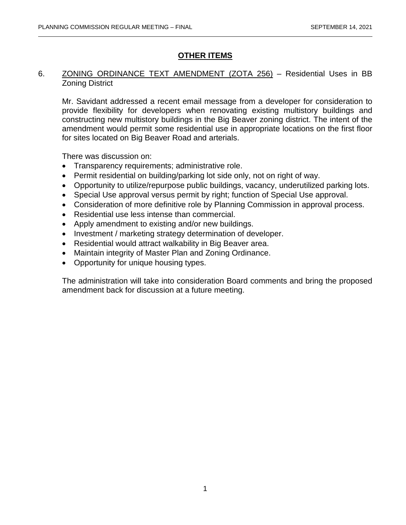# **OTHER ITEMS**

## 6. ZONING ORDINANCE TEXT AMENDMENT (ZOTA 256) – Residential Uses in BB Zoning District

Mr. Savidant addressed a recent email message from a developer for consideration to provide flexibility for developers when renovating existing multistory buildings and constructing new multistory buildings in the Big Beaver zoning district. The intent of the amendment would permit some residential use in appropriate locations on the first floor for sites located on Big Beaver Road and arterials.

There was discussion on:

- Transparency requirements; administrative role.
- Permit residential on building/parking lot side only, not on right of way.
- Opportunity to utilize/repurpose public buildings, vacancy, underutilized parking lots.
- Special Use approval versus permit by right; function of Special Use approval.
- Consideration of more definitive role by Planning Commission in approval process.
- Residential use less intense than commercial.
- Apply amendment to existing and/or new buildings.
- Investment / marketing strategy determination of developer.
- Residential would attract walkability in Big Beaver area.
- Maintain integrity of Master Plan and Zoning Ordinance.
- Opportunity for unique housing types.

The administration will take into consideration Board comments and bring the proposed amendment back for discussion at a future meeting.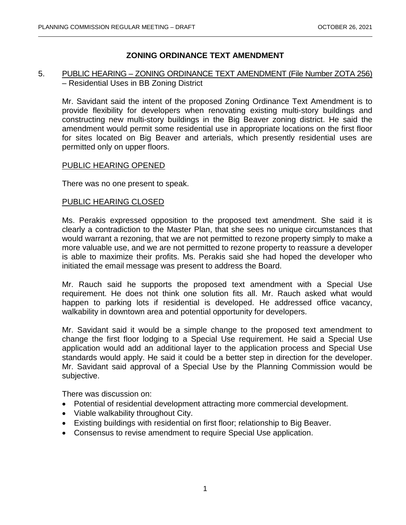# **ZONING ORDINANCE TEXT AMENDMENT**

## 5. PUBLIC HEARING – ZONING ORDINANCE TEXT AMENDMENT (File Number ZOTA 256) – Residential Uses in BB Zoning District

Mr. Savidant said the intent of the proposed Zoning Ordinance Text Amendment is to provide flexibility for developers when renovating existing multi-story buildings and constructing new multi-story buildings in the Big Beaver zoning district. He said the amendment would permit some residential use in appropriate locations on the first floor for sites located on Big Beaver and arterials, which presently residential uses are permitted only on upper floors.

## PUBLIC HEARING OPENED

There was no one present to speak.

## PUBLIC HEARING CLOSED

Ms. Perakis expressed opposition to the proposed text amendment. She said it is clearly a contradiction to the Master Plan, that she sees no unique circumstances that would warrant a rezoning, that we are not permitted to rezone property simply to make a more valuable use, and we are not permitted to rezone property to reassure a developer is able to maximize their profits. Ms. Perakis said she had hoped the developer who initiated the email message was present to address the Board.

Mr. Rauch said he supports the proposed text amendment with a Special Use requirement. He does not think one solution fits all. Mr. Rauch asked what would happen to parking lots if residential is developed. He addressed office vacancy, walkability in downtown area and potential opportunity for developers.

Mr. Savidant said it would be a simple change to the proposed text amendment to change the first floor lodging to a Special Use requirement. He said a Special Use application would add an additional layer to the application process and Special Use standards would apply. He said it could be a better step in direction for the developer. Mr. Savidant said approval of a Special Use by the Planning Commission would be subjective.

There was discussion on:

- Potential of residential development attracting more commercial development.
- Viable walkability throughout City.
- Existing buildings with residential on first floor; relationship to Big Beaver.
- Consensus to revise amendment to require Special Use application.